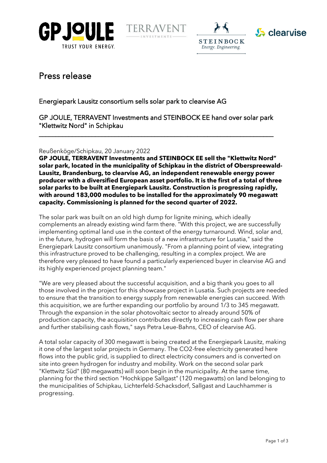







# Press release

## Energiepark Lausitz consortium sells solar park to clearvise AG

GP JOULE, TERRAVENT Investments and STEINBOCK EE hand over solar park "Klettwitz Nord" in Schipkau

\_\_\_\_\_\_\_\_\_\_\_\_\_\_\_\_\_\_\_\_\_\_\_\_\_\_\_\_\_\_\_\_\_\_\_\_\_\_\_\_\_\_\_\_\_\_\_\_\_\_\_\_\_\_\_\_\_\_\_\_\_\_\_\_\_\_\_\_\_\_\_

## Reußenköge/Schipkau, 20 January 2022

**GP JOULE, TERRAVENT Investments and STEINBOCK EE sell the "Klettwitz Nord" solar park, located in the municipality of Schipkau in the district of Oberspreewald-Lausitz, Brandenburg, to clearvise AG, an independent renewable energy power producer with a diversified European asset portfolio. It is the first of a total of three solar parks to be built at Energiepark Lausitz. Construction is progressing rapidly, with around 183,000 modules to be installed for the approximately 90 megawatt capacity. Commissioning is planned for the second quarter of 2022.**

The solar park was built on an old high dump for lignite mining, which ideally complements an already existing wind farm there. "With this project, we are successfully implementing optimal land use in the context of the energy turnaround. Wind, solar and, in the future, hydrogen will form the basis of a new infrastructure for Lusatia," said the Energiepark Lausitz consortium unanimously. "From a planning point of view, integrating this infrastructure proved to be challenging, resulting in a complex project. We are therefore very pleased to have found a particularly experienced buyer in clearvise AG and its highly experienced project planning team."

"We are very pleased about the successful acquisition, and a big thank you goes to all those involved in the project for this showcase project in Lusatia. Such projects are needed to ensure that the transition to energy supply from renewable energies can succeed. With this acquisition, we are further expanding our portfolio by around 1/3 to 345 megawatt. Through the expansion in the solar photovoltaic sector to already around 50% of production capacity, the acquisition contributes directly to increasing cash flow per share and further stabilising cash flows," says Petra Leue-Bahns, CEO of clearvise AG.

A total solar capacity of 300 megawatt is being created at the Energiepark Lausitz, making it one of the largest solar projects in Germany. The CO2-free electricity generated here flows into the public grid, is supplied to direct electricity consumers and is converted on site into green hydrogen for industry and mobility. Work on the second solar park "Klettwitz Süd" (80 megawatts) will soon begin in the municipality. At the same time, planning for the third section "Hochkippe Sallgast" (120 megawatts) on land belonging to the municipalities of Schipkau, Lichterfeld-Schacksdorf, Sallgast and Lauchhammer is progressing.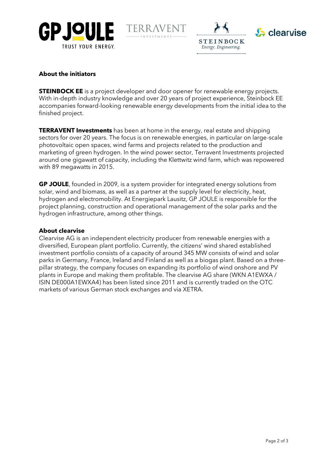







## **About the initiators**

**STEINBOCK EE** is a project developer and door opener for renewable energy projects. With in-depth industry knowledge and over 20 years of project experience, Steinbock EE accompanies forward-looking renewable energy developments from the initial idea to the finished project.

**TERRAVENT Investments** has been at home in the energy, real estate and shipping sectors for over 20 years. The focus is on renewable energies, in particular on large-scale photovoltaic open spaces, wind farms and projects related to the production and marketing of green hydrogen. In the wind power sector, Terravent Investments projected around one gigawatt of capacity, including the Klettwitz wind farm, which was repowered with 89 megawatts in 2015.

**GP JOULE**, founded in 2009, is a system provider for integrated energy solutions from solar, wind and biomass, as well as a partner at the supply level for electricity, heat, hydrogen and electromobility. At Energiepark Lausitz, GP JOULE is responsible for the project planning, construction and operational management of the solar parks and the hydrogen infrastructure, among other things.

## **About clearvise**

Clearvise AG is an independent electricity producer from renewable energies with a diversified, European plant portfolio. Currently, the citizens' wind shared established investment portfolio consists of a capacity of around 345 MW consists of wind and solar parks in Germany, France, Ireland and Finland as well as a biogas plant. Based on a threepillar strategy, the company focuses on expanding its portfolio of wind onshore and PV plants in Europe and making them profitable. The clearvise AG share (WKN A1EWXA / ISIN DE000A1EWXA4) has been listed since 2011 and is currently traded on the OTC markets of various German stock exchanges and via XETRA.